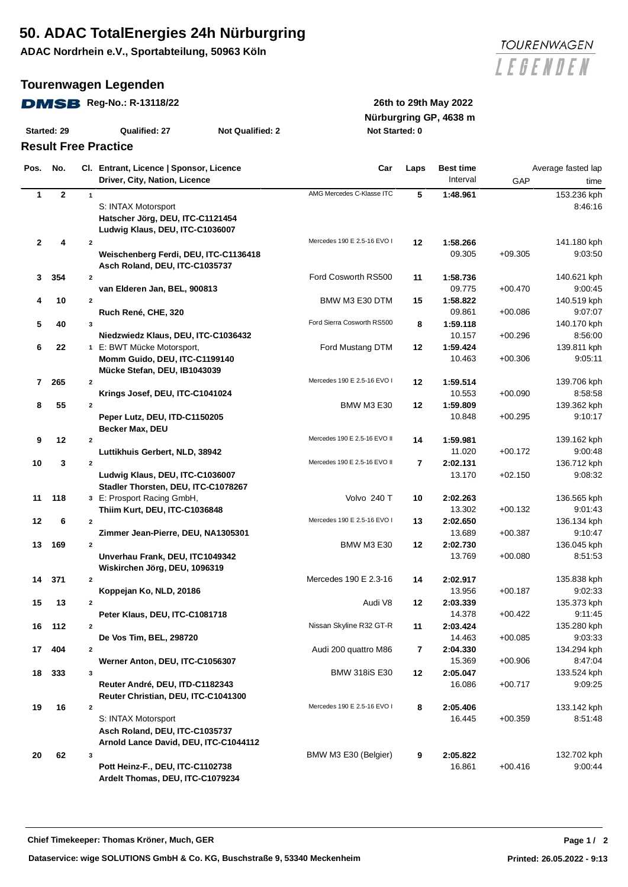## **50. ADAC TotalEnergies 24h Nürburgring**

**ADAC Nordrhein e.V., Sportabteilung, 50963 Köln**

### **Tourenwagen Legenden**

#### **DMSB** Reg-No.: R-13118/22 26th to 29th May 2022

| Started: 29 | Qualified: 27 | Not Qualified: |
|-------------|---------------|----------------|

### **Result Free Practice**

**Nürburgring GP, 4638 m Started: 29 Qualified: 27 Not Qualified: 2 Not Started: 0**

| Pos.         | No.          |                         | Cl. Entrant, Licence   Sponsor, Licence<br>Driver, City, Nation, Licence | Car                          | Laps | <b>Best time</b><br>Interval | GAP       | Average fasted lap<br>time |
|--------------|--------------|-------------------------|--------------------------------------------------------------------------|------------------------------|------|------------------------------|-----------|----------------------------|
|              |              | $\mathbf{1}$            |                                                                          | AMG Mercedes C-Klasse ITC    |      |                              |           |                            |
| $\mathbf{1}$ | $\mathbf{2}$ |                         |                                                                          |                              | 5    | 1:48.961                     |           | 153.236 kph                |
|              |              |                         | S: INTAX Motorsport                                                      |                              |      |                              |           | 8:46:16                    |
|              |              |                         | Hatscher Jörg, DEU, ITC-C1121454<br>Ludwig Klaus, DEU, ITC-C1036007      |                              |      |                              |           |                            |
|              |              |                         |                                                                          |                              |      |                              |           |                            |
| $\mathbf{2}$ | 4            | $\overline{2}$          |                                                                          | Mercedes 190 E 2.5-16 EVO I  | 12   | 1:58.266                     |           | 141.180 kph                |
|              |              |                         | Weischenberg Ferdi, DEU, ITC-C1136418                                    |                              |      | 09.305                       | $+09.305$ | 9:03:50                    |
|              |              |                         | Asch Roland, DEU, ITC-C1035737                                           |                              |      |                              |           |                            |
| 3            | 354          | $\overline{2}$          |                                                                          | Ford Cosworth RS500          | 11   | 1:58.736                     |           | 140.621 kph                |
|              |              |                         | van Elderen Jan, BEL, 900813                                             |                              |      | 09.775                       | $+00.470$ | 9:00:45                    |
| 4            | 10           | $\overline{2}$          |                                                                          | BMW M3 E30 DTM               | 15   | 1:58.822                     |           | 140.519 kph                |
|              |              |                         | Ruch René, CHE, 320                                                      |                              |      | 09.861                       | $+00.086$ | 9:07:07                    |
| 5            | 40           | $\mathbf 3$             |                                                                          | Ford Sierra Cosworth RS500   | 8    | 1:59.118                     |           | 140.170 kph                |
|              |              |                         | Niedzwiedz Klaus, DEU, ITC-C1036432                                      |                              |      | 10.157                       | $+00.296$ | 8:56:00                    |
| 6            | 22           |                         | 1 E: BWT Mücke Motorsport,                                               | Ford Mustang DTM             | 12   | 1:59.424                     |           | 139.811 kph                |
|              |              |                         | Momm Guido, DEU, ITC-C1199140                                            |                              |      | 10.463                       | $+00.306$ | 9:05:11                    |
|              |              |                         | Mücke Stefan, DEU, IB1043039                                             |                              |      |                              |           |                            |
| 7            | 265          | $\mathbf{2}$            |                                                                          | Mercedes 190 E 2.5-16 EVO I  | 12   | 1:59.514                     |           | 139.706 kph                |
|              |              |                         | Krings Josef, DEU, ITC-C1041024                                          |                              |      | 10.553                       | $+00.090$ | 8:58:58                    |
| 8            | 55           | $\overline{2}$          |                                                                          | BMW M3 E30                   | 12   | 1:59.809                     |           | 139.362 kph                |
|              |              |                         | Peper Lutz, DEU, ITD-C1150205                                            |                              |      | 10.848                       | $+00.295$ | 9:10:17                    |
|              |              |                         | <b>Becker Max, DEU</b>                                                   |                              |      |                              |           |                            |
| 9            | 12           | $\overline{2}$          |                                                                          | Mercedes 190 E 2.5-16 EVO II | 14   | 1:59.981                     |           | 139.162 kph                |
|              |              |                         | Luttikhuis Gerbert, NLD, 38942                                           |                              |      | 11.020                       | $+00.172$ | 9:00:48                    |
| 10           | 3            | $\overline{2}$          |                                                                          | Mercedes 190 E 2.5-16 EVO II | 7    | 2:02.131                     |           | 136.712 kph                |
|              |              |                         | Ludwig Klaus, DEU, ITC-C1036007                                          |                              |      | 13.170                       | $+02.150$ | 9:08:32                    |
|              |              |                         | Stadler Thorsten, DEU, ITC-C1078267                                      |                              |      |                              |           |                            |
| 11           | 118          |                         | 3 E: Prosport Racing GmbH,                                               | Volvo 240 T                  | 10   | 2:02.263                     |           | 136.565 kph                |
|              |              |                         | Thiim Kurt, DEU, ITC-C1036848                                            |                              |      | 13.302                       | $+00.132$ | 9:01:43                    |
| 12           | 6            | $\mathbf{2}$            |                                                                          | Mercedes 190 E 2.5-16 EVO I  | 13   | 2:02.650                     |           | 136.134 kph                |
|              |              |                         | Zimmer Jean-Pierre, DEU, NA1305301                                       |                              |      | 13.689                       | $+00.387$ | 9:10:47                    |
| 13           | 169          | $\mathbf{2}$            |                                                                          | BMW M3 E30                   | 12   | 2:02.730                     |           | 136.045 kph                |
|              |              |                         | Unverhau Frank, DEU, ITC1049342                                          |                              |      | 13.769                       | $+00.080$ | 8:51:53                    |
|              |              |                         | Wiskirchen Jörg, DEU, 1096319                                            |                              |      |                              |           |                            |
| 14           | 371          | $\overline{2}$          |                                                                          | Mercedes 190 E 2.3-16        | 14   | 2:02.917                     |           | 135.838 kph                |
|              |              |                         | Koppejan Ko, NLD, 20186                                                  |                              |      | 13.956                       | $+00.187$ | 9:02:33                    |
| 15           | 13           | $\overline{2}$          |                                                                          | Audi V8                      | 12   | 2:03.339                     |           | 135.373 kph                |
|              |              |                         | Peter Klaus, DEU, ITC-C1081718                                           |                              |      | 14.378                       | $+00.422$ | 9:11:45                    |
| 16           | 112          | $\overline{2}$          |                                                                          | Nissan Skyline R32 GT-R      | 11   | 2:03.424                     |           | 135.280 kph                |
|              |              |                         | De Vos Tim, BEL, 298720                                                  |                              |      | 14.463                       | $+00.085$ | 9:03:33                    |
| 17           | 404          | $\overline{2}$          |                                                                          | Audi 200 quattro M86         | 7    | 2:04.330                     |           | 134.294 kph                |
|              |              |                         | Werner Anton, DEU, ITC-C1056307                                          |                              |      | 15.369                       | $+00.906$ | 8:47:04                    |
| 18           | 333          | 3                       |                                                                          | <b>BMW 318iS E30</b>         | 12   | 2:05.047                     |           | 133.524 kph                |
|              |              |                         | Reuter André, DEU, ITD-C1182343                                          |                              |      | 16.086                       | $+00.717$ | 9:09:25                    |
|              |              |                         | Reuter Christian, DEU, ITC-C1041300                                      |                              |      |                              |           |                            |
| 19           | 16           | $\overline{\mathbf{2}}$ |                                                                          | Mercedes 190 E 2.5-16 EVO I  | 8    | 2:05.406                     |           | 133.142 kph                |
|              |              |                         | S: INTAX Motorsport                                                      |                              |      | 16.445                       | $+00.359$ | 8:51:48                    |
|              |              |                         | Asch Roland, DEU, ITC-C1035737                                           |                              |      |                              |           |                            |
|              |              |                         | Arnold Lance David, DEU, ITC-C1044112                                    |                              |      |                              |           |                            |
| 20           | 62           | 3                       |                                                                          | BMW M3 E30 (Belgier)         | 9    | 2:05.822                     |           | 132.702 kph                |
|              |              |                         | Pott Heinz-F., DEU, ITC-C1102738                                         |                              |      | 16.861                       | $+00.416$ | 9:00:44                    |
|              |              |                         | Ardelt Thomas, DEU, ITC-C1079234                                         |                              |      |                              |           |                            |
|              |              |                         |                                                                          |                              |      |                              |           |                            |